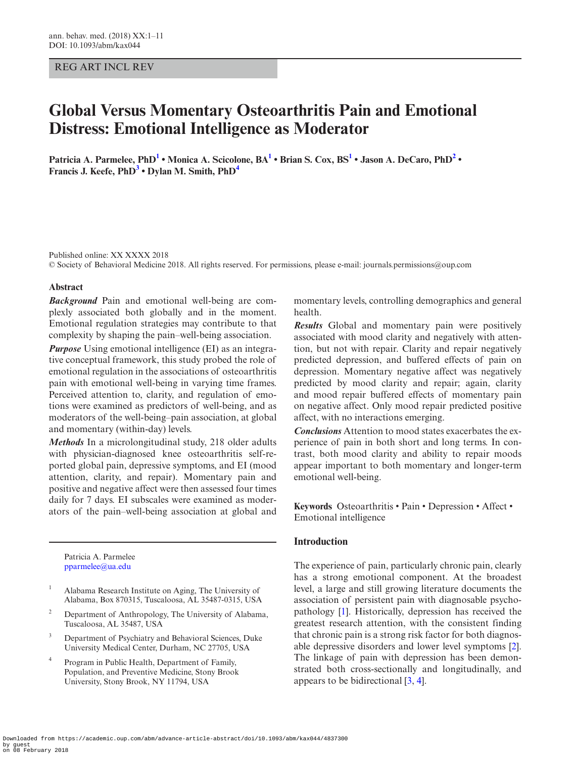# REG ART INCL REV

# **Global Versus Momentary Osteoarthritis Pain and Emotional Distress: Emotional Intelligence as Moderator**

**Patricia A. Parmelee, PhD[1](#page-0-0) • Monica A. Scicolone, B[A1](#page-0-0) • Brian S. Cox, BS[1](#page-0-0) • Jason A. DeCaro, PhD[2](#page-0-1) • Francis J. Keefe, PhD[3](#page-0-2) • Dylan M. Smith, Ph[D4](#page-0-3)**

Published online: XX XXXX 2018 © Society of Behavioral Medicine 2018. All rights reserved. For permissions, please e-mail: journals.permissions@oup.com

#### **Abstract**

*Background* Pain and emotional well-being are complexly associated both globally and in the moment. Emotional regulation strategies may contribute to that complexity by shaping the pain–well-being association.

*Purpose* Using emotional intelligence (EI) as an integrative conceptual framework, this study probed the role of emotional regulation in the associations of osteoarthritis pain with emotional well-being in varying time frames. Perceived attention to, clarity, and regulation of emotions were examined as predictors of well-being, and as moderators of the well-being–pain association, at global and momentary (within-day) levels.

*Methods* In a microlongitudinal study, 218 older adults with physician-diagnosed knee osteoarthritis self-reported global pain, depressive symptoms, and EI (mood attention, clarity, and repair). Momentary pain and positive and negative affect were then assessed four times daily for 7 days. EI subscales were examined as moderators of the pain–well-being association at global and

Patricia A. Parmelee [pparmelee@ua.edu](mailto:pparmelee@ua.edu?subject=)

- <span id="page-0-0"></span><sup>1</sup> Alabama Research Institute on Aging, The University of Alabama, Box 870315, Tuscaloosa, AL 35487-0315, USA
- <span id="page-0-1"></span><sup>2</sup> Department of Anthropology, The University of Alabama, Tuscaloosa, AL 35487, USA
- <span id="page-0-2"></span><sup>3</sup> Department of Psychiatry and Behavioral Sciences, Duke University Medical Center, Durham, NC 27705, USA
- <span id="page-0-3"></span>Program in Public Health, Department of Family, Population, and Preventive Medicine, Stony Brook University, Stony Brook, NY 11794, USA

momentary levels, controlling demographics and general health.

*Results* Global and momentary pain were positively associated with mood clarity and negatively with attention, but not with repair. Clarity and repair negatively predicted depression, and buffered effects of pain on depression. Momentary negative affect was negatively predicted by mood clarity and repair; again, clarity and mood repair buffered effects of momentary pain on negative affect. Only mood repair predicted positive affect, with no interactions emerging.

*Conclusions* Attention to mood states exacerbates the experience of pain in both short and long terms. In contrast, both mood clarity and ability to repair moods appear important to both momentary and longer-term emotional well-being.

**Keywords** Osteoarthritis • Pain • Depression • Affect • Emotional intelligence

## **Introduction**

The experience of pain, particularly chronic pain, clearly has a strong emotional component. At the broadest level, a large and still growing literature documents the association of persistent pain with diagnosable psychopathology [[1\]](#page-8-0). Historically, depression has received the greatest research attention, with the consistent finding that chronic pain is a strong risk factor for both diagnosable depressive disorders and lower level symptoms [[2\]](#page-9-0). The linkage of pain with depression has been demonstrated both cross-sectionally and longitudinally, and appears to be bidirectional [[3,](#page-9-1) [4\]](#page-9-2).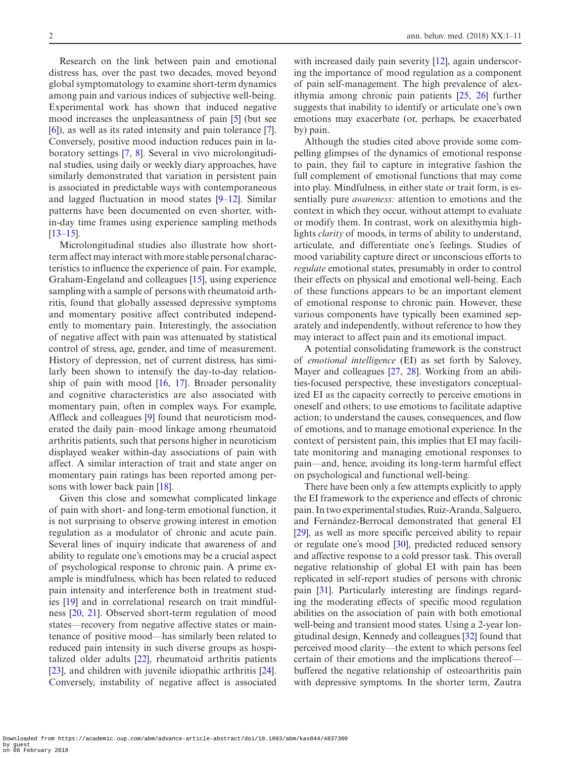Research on the link between pain and emotional distress has, over the past two decades, moved beyond global symptomatology to examine short-term dynamics among pain and various indices of subjective well-being. Experimental work has shown that induced negative mood increases the unpleasantness of pain [[5\]](#page-9-3) (but see [[6\]](#page-9-4)), as well as its rated intensity and pain tolerance [\[7](#page-9-5)]. Conversely, positive mood induction reduces pain in laboratory settings [\[7](#page-9-5), [8](#page-9-6)]. Several in vivo microlongitudinal studies, using daily or weekly diary approaches, have similarly demonstrated that variation in persistent pain is associated in predictable ways with contemporaneous and lagged fluctuation in mood states [[9–12\]](#page-9-7). Similar patterns have been documented on even shorter, within-day time frames using experience sampling methods [[13–15\]](#page-9-8).

Microlongitudinal studies also illustrate how shortterm affect may interact with more stable personal characteristics to influence the experience of pain. For example, Graham-Engeland and colleagues [[15\]](#page-9-9), using experience sampling with a sample of persons with rheumatoid arthritis, found that globally assessed depressive symptoms and momentary positive affect contributed independently to momentary pain. Interestingly, the association of negative affect with pain was attenuated by statistical control of stress, age, gender, and time of measurement. History of depression, net of current distress, has similarly been shown to intensify the day-to-day relationship of pain with mood  $[16, 17]$  $[16, 17]$  $[16, 17]$ . Broader personality and cognitive characteristics are also associated with momentary pain, often in complex ways. For example, Affleck and colleagues [[9\]](#page-9-7) found that neuroticism moderated the daily pain–mood linkage among rheumatoid arthritis patients, such that persons higher in neuroticism displayed weaker within-day associations of pain with affect. A similar interaction of trait and state anger on momentary pain ratings has been reported among persons with lower back pain [\[18](#page-9-12)].

Given this close and somewhat complicated linkage of pain with short- and long-term emotional function, it is not surprising to observe growing interest in emotion regulation as a modulator of chronic and acute pain. Several lines of inquiry indicate that awareness of and ability to regulate one's emotions may be a crucial aspect of psychological response to chronic pain. A prime example is mindfulness, which has been related to reduced pain intensity and interference both in treatment studies [[19\]](#page-9-13) and in correlational research on trait mindfulness [\[20](#page-9-14), [21](#page-9-15)]. Observed short-term regulation of mood states—recovery from negative affective states or maintenance of positive mood—has similarly been related to reduced pain intensity in such diverse groups as hospitalized older adults [\[22](#page-9-16)], rheumatoid arthritis patients [[23\]](#page-9-17), and children with juvenile idiopathic arthritis [\[24](#page-9-18)]. Conversely, instability of negative affect is associated

with increased daily pain severity [\[12](#page-9-19)], again underscoring the importance of mood regulation as a component of pain self-management. The high prevalence of alexithymia among chronic pain patients [\[25](#page-9-20), [26\]](#page-9-21) further suggests that inability to identify or articulate one's own emotions may exacerbate (or, perhaps, be exacerbated by) pain.

Although the studies cited above provide some compelling glimpses of the dynamics of emotional response to pain, they fail to capture in integrative fashion the full complement of emotional functions that may come into play. Mindfulness, in either state or trait form, is essentially pure *awareness:* attention to emotions and the context in which they occur, without attempt to evaluate or modify them. In contrast, work on alexithymia highlights *clarity* of moods, in terms of ability to understand, articulate, and differentiate one's feelings. Studies of mood variability capture direct or unconscious efforts to *regulate* emotional states, presumably in order to control their effects on physical and emotional well-being. Each of these functions appears to be an important element of emotional response to chronic pain. However, these various components have typically been examined separately and independently, without reference to how they may interact to affect pain and its emotional impact.

A potential consolidating framework is the construct of *emotional intelligence* (EI) as set forth by Salovey, Mayer and colleagues [[27,](#page-9-22) [28](#page-9-23)]. Working from an abilities-focused perspective, these investigators conceptualized EI as the capacity correctly to perceive emotions in oneself and others; to use emotions to facilitate adaptive action; to understand the causes, consequences, and flow of emotions, and to manage emotional experience. In the context of persistent pain, this implies that EI may facilitate monitoring and managing emotional responses to pain—and, hence, avoiding its long-term harmful effect on psychological and functional well-being.

There have been only a few attempts explicitly to apply the EI framework to the experience and effects of chronic pain. In two experimental studies, Ruiz-Aranda, Salguero, and Fernández-Berrocal demonstrated that general EI [\[29](#page-9-24)], as well as more specific perceived ability to repair or regulate one's mood [\[30](#page-9-25)], predicted reduced sensory and affective response to a cold pressor task. This overall negative relationship of global EI with pain has been replicated in self-report studies of persons with chronic pain [\[31\]](#page-9-26). Particularly interesting are findings regarding the moderating effects of specific mood regulation abilities on the association of pain with both emotional well-being and transient mood states. Using a 2-year longitudinal design, Kennedy and colleagues [\[32](#page-9-27)] found that perceived mood clarity—the extent to which persons feel certain of their emotions and the implications thereof buffered the negative relationship of osteoarthritis pain with depressive symptoms. In the shorter term, Zautra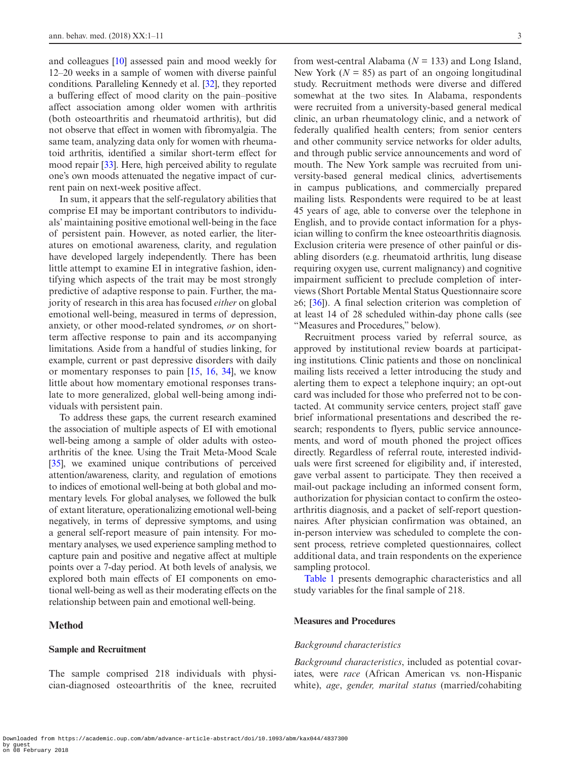and colleagues [[10\]](#page-9-28) assessed pain and mood weekly for 12–20 weeks in a sample of women with diverse painful conditions. Paralleling Kennedy et al. [\[32\]](#page-9-27), they reported a buffering effect of mood clarity on the pain–positive affect association among older women with arthritis (both osteoarthritis and rheumatoid arthritis), but did not observe that effect in women with fibromyalgia. The same team, analyzing data only for women with rheumatoid arthritis, identified a similar short-term effect for mood repair [\[33](#page-9-29)]. Here, high perceived ability to regulate one's own moods attenuated the negative impact of current pain on next-week positive affect.

In sum, it appears that the self-regulatory abilities that comprise EI may be important contributors to individuals' maintaining positive emotional well-being in the face of persistent pain. However, as noted earlier, the literatures on emotional awareness, clarity, and regulation have developed largely independently. There has been little attempt to examine EI in integrative fashion, identifying which aspects of the trait may be most strongly predictive of adaptive response to pain. Further, the majority of research in this area has focused *either* on global emotional well-being, measured in terms of depression, anxiety, or other mood-related syndromes, *or* on shortterm affective response to pain and its accompanying limitations. Aside from a handful of studies linking, for example, current or past depressive disorders with daily or momentary responses to pain [\[15](#page-9-9), [16,](#page-9-10) [34](#page-9-30)], we know little about how momentary emotional responses translate to more generalized, global well-being among individuals with persistent pain.

To address these gaps, the current research examined the association of multiple aspects of EI with emotional well-being among a sample of older adults with osteoarthritis of the knee. Using the Trait Meta-Mood Scale [[35](#page-9-31)], we examined unique contributions of perceived attention/awareness, clarity, and regulation of emotions to indices of emotional well-being at both global and momentary levels. For global analyses, we followed the bulk of extant literature, operationalizing emotional well-being negatively, in terms of depressive symptoms, and using a general self-report measure of pain intensity. For momentary analyses, we used experience sampling method to capture pain and positive and negative affect at multiple points over a 7-day period. At both levels of analysis, we explored both main effects of EI components on emotional well-being as well as their moderating effects on the relationship between pain and emotional well-being.

# **Method**

#### **Sample and Recruitment**

The sample comprised 218 individuals with physician-diagnosed osteoarthritis of the knee, recruited

from west-central Alabama (*N* = 133) and Long Island, New York  $(N = 85)$  as part of an ongoing longitudinal study. Recruitment methods were diverse and differed somewhat at the two sites. In Alabama, respondents were recruited from a university-based general medical clinic, an urban rheumatology clinic, and a network of federally qualified health centers; from senior centers and other community service networks for older adults, and through public service announcements and word of mouth. The New York sample was recruited from university-based general medical clinics, advertisements in campus publications, and commercially prepared mailing lists. Respondents were required to be at least 45 years of age, able to converse over the telephone in English, and to provide contact information for a physician willing to confirm the knee osteoarthritis diagnosis. Exclusion criteria were presence of other painful or disabling disorders (e.g. rheumatoid arthritis, lung disease requiring oxygen use, current malignancy) and cognitive impairment sufficient to preclude completion of interviews (Short Portable Mental Status Questionnaire score ≥6; [[36\]](#page-9-32)). A final selection criterion was completion of at least 14 of 28 scheduled within-day phone calls (see "Measures and Procedures," below).

Recruitment process varied by referral source, as approved by institutional review boards at participating institutions. Clinic patients and those on nonclinical mailing lists received a letter introducing the study and alerting them to expect a telephone inquiry; an opt-out card was included for those who preferred not to be contacted. At community service centers, project staff gave brief informational presentations and described the research; respondents to flyers, public service announcements, and word of mouth phoned the project offices directly. Regardless of referral route, interested individuals were first screened for eligibility and, if interested, gave verbal assent to participate. They then received a mail-out package including an informed consent form, authorization for physician contact to confirm the osteoarthritis diagnosis, and a packet of self-report questionnaires. After physician confirmation was obtained, an in-person interview was scheduled to complete the consent process, retrieve completed questionnaires, collect additional data, and train respondents on the experience sampling protocol.

[Table 1](#page-3-0) presents demographic characteristics and all study variables for the final sample of 218.

#### **Measures and Procedures**

## *Background characteristics*

*Background characteristics*, included as potential covariates, were *race* (African American vs. non-Hispanic white), *age*, *gender, marital status* (married/cohabiting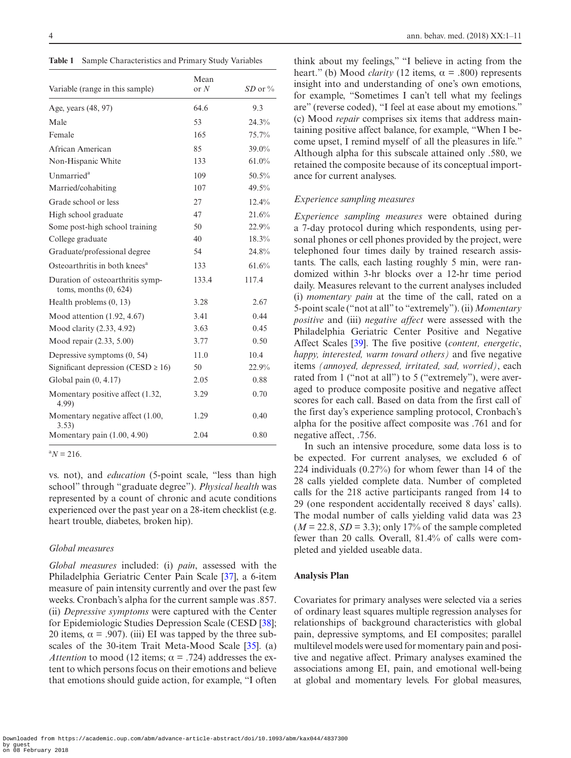<span id="page-3-0"></span>**Table 1** Sample Characteristics and Primary Study Variables

| Variable (range in this sample)                             | Mean<br>or $N$ | $SD$ or $\%$ |
|-------------------------------------------------------------|----------------|--------------|
| Age, years (48, 97)                                         | 64.6           | 9.3          |
| Male                                                        | 53             | 24.3%        |
| Female                                                      | 165            | 75.7%        |
| African American                                            | 85             | 39.0%        |
| Non-Hispanic White                                          | 133            | 61.0%        |
| Unmarried <sup>a</sup>                                      | 109            | 50.5%        |
| Married/cohabiting                                          | 107            | 49.5%        |
| Grade school or less                                        | 27             | 12.4%        |
| High school graduate                                        | 47             | 21.6%        |
| Some post-high school training                              | 50             | 22.9%        |
| College graduate                                            | 40             | 18.3%        |
| Graduate/professional degree                                | 54             | 24.8%        |
| Osteoarthritis in both knees <sup>a</sup>                   | 133            | 61.6%        |
| Duration of osteoarthritis symp-<br>toms, months $(0, 624)$ | 133.4          | 117.4        |
| Health problems $(0, 13)$                                   | 3.28           | 2.67         |
| Mood attention $(1.92, 4.67)$                               | 3.41           | 0.44         |
| Mood clarity (2.33, 4.92)                                   | 3.63           | 0.45         |
| Mood repair (2.33, 5.00)                                    | 3.77           | 0.50         |
| Depressive symptoms $(0, 54)$                               | 11.0           | 10.4         |
| Significant depression (CESD $\geq$ 16)                     | 50             | 22.9%        |
| Global pain $(0, 4.17)$                                     | 2.05           | 0.88         |
| Momentary positive affect (1.32,<br>4.99                    | 3.29           | 0.70         |
| Momentary negative affect (1.00,<br>3.53)                   | 1.29           | 0.40         |
| Momentary pain $(1.00, 4.90)$                               | 2.04           | 0.80         |

 ${}^{a}N = 216.$ 

vs. not), and *education* (5-point scale, "less than high school" through "graduate degree"). *Physical health* was represented by a count of chronic and acute conditions experienced over the past year on a 28-item checklist (e.g. heart trouble, diabetes, broken hip).

#### *Global measures*

*Global measures* included: (i) *pain*, assessed with the Philadelphia Geriatric Center Pain Scale [[37\]](#page-9-33), a 6-item measure of pain intensity currently and over the past few weeks. Cronbach's alpha for the current sample was .857. (ii) *Depressive symptoms* were captured with the Center for Epidemiologic Studies Depression Scale (CESD [\[38](#page-10-0)]; 20 items,  $\alpha$  = .907). (iii) EI was tapped by the three subscales of the 30-item Trait Meta-Mood Scale [\[35](#page-9-31)]. (a) *Attention* to mood (12 items;  $\alpha$  = .724) addresses the extent to which persons focus on their emotions and believe that emotions should guide action, for example, "I often

think about my feelings," "I believe in acting from the heart." (b) Mood *clarity* (12 items,  $\alpha$  = .800) represents insight into and understanding of one's own emotions, for example, "Sometimes I can't tell what my feelings are" (reverse coded), "I feel at ease about my emotions." (c) Mood *repair* comprises six items that address maintaining positive affect balance, for example, "When I become upset, I remind myself of all the pleasures in life." Although alpha for this subscale attained only .580, we retained the composite because of its conceptual importance for current analyses.

#### *Experience sampling measures*

*Experience sampling measures* were obtained during a 7-day protocol during which respondents, using personal phones or cell phones provided by the project, were telephoned four times daily by trained research assistants. The calls, each lasting roughly 5 min, were randomized within 3-hr blocks over a 12-hr time period daily. Measures relevant to the current analyses included (i) *momentary pain* at the time of the call, rated on a 5-point scale ("not at all" to "extremely"). (ii) *Momentary positive* and (iii) *negative affect* were assessed with the Philadelphia Geriatric Center Positive and Negative Affect Scales [\[39](#page-10-1)]. The five positive (*content, energetic*, *happy, interested, warm toward others)* and five negative items *(annoyed, depressed, irritated, sad, worried)*, each rated from 1 ("not at all") to 5 ("extremely"), were averaged to produce composite positive and negative affect scores for each call. Based on data from the first call of the first day's experience sampling protocol, Cronbach's alpha for the positive affect composite was .761 and for negative affect, .756.

In such an intensive procedure, some data loss is to be expected. For current analyses, we excluded 6 of 224 individuals (0.27%) for whom fewer than 14 of the 28 calls yielded complete data. Number of completed calls for the 218 active participants ranged from 14 to 29 (one respondent accidentally received 8 days' calls). The modal number of calls yielding valid data was 23  $(M = 22.8, SD = 3.3)$ ; only 17% of the sample completed fewer than 20 calls. Overall, 81.4% of calls were completed and yielded useable data.

#### **Analysis Plan**

Covariates for primary analyses were selected via a series of ordinary least squares multiple regression analyses for relationships of background characteristics with global pain, depressive symptoms, and EI composites; parallel multilevel models were used for momentary pain and positive and negative affect. Primary analyses examined the associations among EI, pain, and emotional well-being at global and momentary levels. For global measures,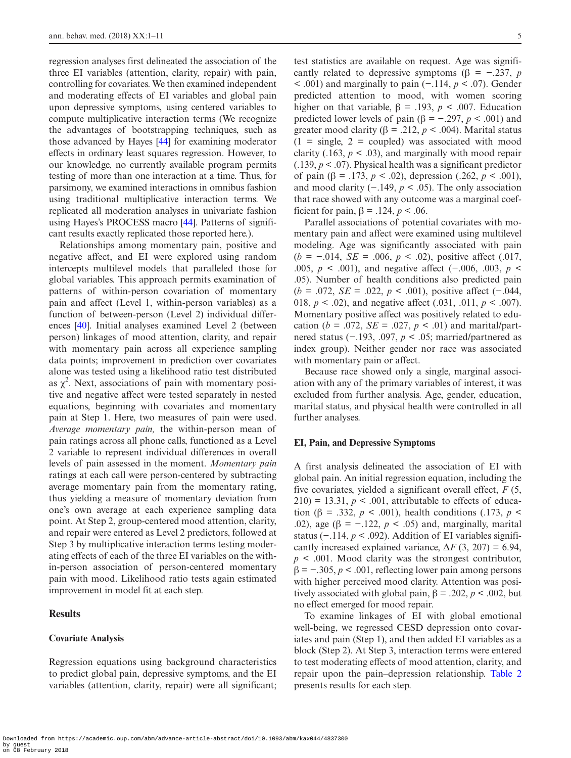regression analyses first delineated the association of the three EI variables (attention, clarity, repair) with pain, controlling for covariates. We then examined independent and moderating effects of EI variables and global pain upon depressive symptoms, using centered variables to compute multiplicative interaction terms (We recognize the advantages of bootstrapping techniques, such as those advanced by Hayes [\[44](#page-10-2)] for examining moderator effects in ordinary least squares regression. However, to our knowledge, no currently available program permits testing of more than one interaction at a time. Thus, for parsimony, we examined interactions in omnibus fashion using traditional multiplicative interaction terms. We replicated all moderation analyses in univariate fashion using Hayes's PROCESS macro [\[44](#page-10-2)]. Patterns of significant results exactly replicated those reported here.).

Relationships among momentary pain, positive and negative affect, and EI were explored using random intercepts multilevel models that paralleled those for global variables. This approach permits examination of patterns of within-person covariation of momentary pain and affect (Level 1, within-person variables) as a function of between-person (Level 2) individual differences [\[40](#page-10-3)]. Initial analyses examined Level 2 (between person) linkages of mood attention, clarity, and repair with momentary pain across all experience sampling data points; improvement in prediction over covariates alone was tested using a likelihood ratio test distributed as  $\chi^2$ . Next, associations of pain with momentary positive and negative affect were tested separately in nested equations, beginning with covariates and momentary pain at Step 1. Here, two measures of pain were used. *Average momentary pain,* the within-person mean of pain ratings across all phone calls, functioned as a Level 2 variable to represent individual differences in overall levels of pain assessed in the moment. *Momentary pain* ratings at each call were person-centered by subtracting average momentary pain from the momentary rating, thus yielding a measure of momentary deviation from one's own average at each experience sampling data point. At Step 2, group-centered mood attention, clarity, and repair were entered as Level 2 predictors, followed at Step 3 by multiplicative interaction terms testing moderating effects of each of the three EI variables on the within-person association of person-centered momentary pain with mood. Likelihood ratio tests again estimated improvement in model fit at each step.

## **Results**

#### **Covariate Analysis**

Regression equations using background characteristics to predict global pain, depressive symptoms, and the EI variables (attention, clarity, repair) were all significant;

test statistics are available on request. Age was significantly related to depressive symptoms ( $\beta$  = -.237, *p* < .001) and marginally to pain (−.114, *p* < .07). Gender predicted attention to mood, with women scoring higher on that variable,  $\beta = .193$ ,  $p < .007$ . Education predicted lower levels of pain (β = −.297, *p* < .001) and greater mood clarity ( $\beta$  = .212,  $p$  < .004). Marital status  $(1 = \text{single}, 2 = \text{coupled})$  was associated with mood clarity  $(.163, p \leq .03)$ , and marginally with mood repair  $(0.139, p < 0.07)$ . Physical health was a significant predictor of pain (β = .173, *p* < .02), depression (.262, *p* < .001), and mood clarity (−.149, *p* < .05). The only association that race showed with any outcome was a marginal coefficient for pain,  $\beta = .124$ ,  $p < .06$ .

Parallel associations of potential covariates with momentary pain and affect were examined using multilevel modeling. Age was significantly associated with pain  $(b = -.014, SE = .006, p < .02)$ , positive affect  $(.017,$ .005, *p* < .001), and negative affect (−.006, .003, *p* < .05). Number of health conditions also predicted pain (*b* = .072, *SE* = .022, *p* < .001), positive affect (−.044, 018, *p* < .02), and negative affect (.031, .011, *p* < .007). Momentary positive affect was positively related to education ( $b = .072$ ,  $SE = .027$ ,  $p < .01$ ) and marital/partnered status (−.193, .097, *p* < .05; married/partnered as index group). Neither gender nor race was associated with momentary pain or affect.

Because race showed only a single, marginal association with any of the primary variables of interest, it was excluded from further analysis. Age, gender, education, marital status, and physical health were controlled in all further analyses.

## **EI, Pain, and Depressive Symptoms**

A first analysis delineated the association of EI with global pain. An initial regression equation, including the five covariates, yielded a significant overall effect, *F* (5,  $210$ ) = 13.31,  $p < .001$ , attributable to effects of education (β = .332, *p* < .001), health conditions (.173, *p* < .02), age ( $\beta$  = -.122,  $p$  < .05) and, marginally, marital status (−.114, *p* < .092). Addition of EI variables significantly increased explained variance,  $\Delta F$  (3, 207) = 6.94,  $p \leq .001$ . Mood clarity was the strongest contributor,  $\beta = -.305, p < .001$ , reflecting lower pain among persons with higher perceived mood clarity. Attention was positively associated with global pain,  $\beta$  = .202,  $p$  < .002, but no effect emerged for mood repair.

To examine linkages of EI with global emotional well-being, we regressed CESD depression onto covariates and pain (Step 1), and then added EI variables as a block (Step 2). At Step 3, interaction terms were entered to test moderating effects of mood attention, clarity, and repair upon the pain–depression relationship. [Table 2](#page-5-0) presents results for each step.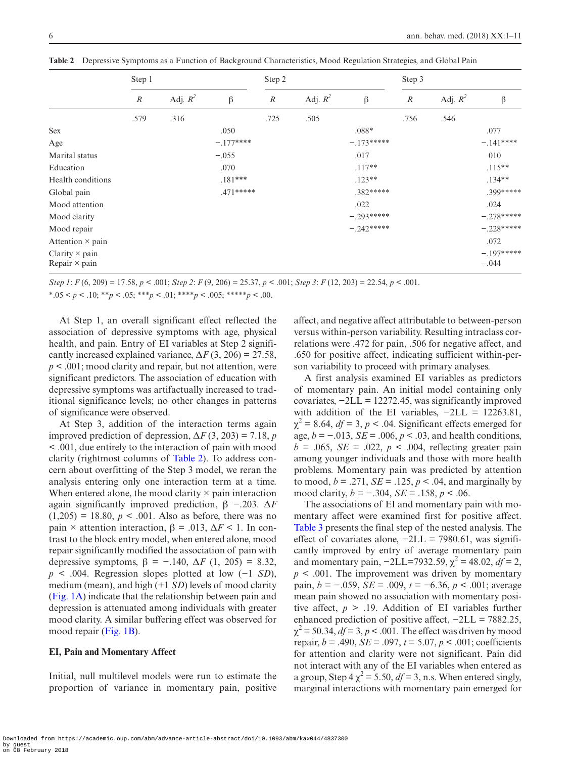|                                               | Step 1           |            |            | Step 2           |            |              | Step 3           |            |                         |  |
|-----------------------------------------------|------------------|------------|------------|------------------|------------|--------------|------------------|------------|-------------------------|--|
|                                               | $\boldsymbol{R}$ | Adj. $R^2$ | $\beta$    | $\boldsymbol{R}$ | Adj. $R^2$ | $\beta$      | $\boldsymbol{R}$ | Adj. $R^2$ | $\beta$                 |  |
|                                               | .579             | .316       |            | .725             | .505       |              | .756             | .546       |                         |  |
| <b>Sex</b>                                    |                  |            | .050       |                  |            | $.088*$      |                  |            | .077                    |  |
| Age                                           |                  |            | $-.177***$ |                  |            | $-.173***$   |                  |            | $-.141***$              |  |
| Marital status                                |                  |            | $-.055$    |                  |            | .017         |                  |            | 010                     |  |
| Education                                     |                  |            | .070       |                  |            | $.117**$     |                  |            | $.115***$               |  |
| Health conditions                             |                  |            | $.181***$  |                  |            | $.123**$     |                  |            | $.134**$                |  |
| Global pain                                   |                  |            | $.471****$ |                  |            | .382*****    |                  |            | .399*****               |  |
| Mood attention                                |                  |            |            |                  |            | .022         |                  |            | .024                    |  |
| Mood clarity                                  |                  |            |            |                  |            | $-.293*****$ |                  |            | $-.278***$              |  |
| Mood repair                                   |                  |            |            |                  |            | $-.242***$   |                  |            | $-.228****$             |  |
| Attention $\times$ pain                       |                  |            |            |                  |            |              |                  |            | .072                    |  |
| Clarity $\times$ pain<br>Repair $\times$ pain |                  |            |            |                  |            |              |                  |            | $-.197*****$<br>$-.044$ |  |

<span id="page-5-0"></span>**Table 2** Depressive Symptoms as a Function of Background Characteristics, Mood Regulation Strategies, and Global Pain

*Step 1*: *F* (6, 209) = 17.58, *p <* .001; *Step 2*: *F* (9, 206) = 25.37, *p* < .001; *Step 3*: *F* (12, 203) = 22.54, *p* < .001.

\*.05 <  $p$  < .10; \*\* $p$  < .05; \*\*\* $p$  < .01; \*\*\*\* $p$  < .005; \*\*\*\* $p$  < .00.

At Step 1, an overall significant effect reflected the association of depressive symptoms with age, physical health, and pain. Entry of EI variables at Step 2 significantly increased explained variance,  $\Delta F(3, 206) = 27.58$ , *p* < .001; mood clarity and repair, but not attention, were significant predictors. The association of education with depressive symptoms was artifactually increased to traditional significance levels; no other changes in patterns of significance were observed.

At Step 3, addition of the interaction terms again improved prediction of depression,  $\Delta F(3, 203) = 7.18$ , *p* < .001, due entirely to the interaction of pain with mood clarity (rightmost columns of [Table 2\)](#page-5-0). To address concern about overfitting of the Step 3 model, we reran the analysis entering only one interaction term at a time. When entered alone, the mood clarity  $\times$  pain interaction again significantly improved prediction, β −.203. Δ*F*  $(1,205) = 18.80, p < .001$ . Also as before, there was no pain × attention interaction,  $β = .013$ ,  $ΔF < 1$ . In contrast to the block entry model, when entered alone, mood repair significantly modified the association of pain with depressive symptoms,  $β = -.140$ ,  $ΔF (1, 205) = 8.32$ , *p* < .004. Regression slopes plotted at low (−1 *SD*), medium (mean), and high (+1 *SD*) levels of mood clarity [\(Fig. 1A](#page-6-0)) indicate that the relationship between pain and depression is attenuated among individuals with greater mood clarity. A similar buffering effect was observed for mood repair [\(Fig. 1B\)](#page-6-0).

## **EI, Pain and Momentary Affect**

Initial, null multilevel models were run to estimate the proportion of variance in momentary pain, positive affect, and negative affect attributable to between-person versus within-person variability. Resulting intraclass correlations were .472 for pain, .506 for negative affect, and .650 for positive affect, indicating sufficient within-person variability to proceed with primary analyses.

A first analysis examined EI variables as predictors of momentary pain. An initial model containing only covariates, −2LL = 12272.45, was significantly improved with addition of the EI variables,  $-2LL = 12263.81$ ,  $\chi^2$  = 8.64, *df* = 3, *p* < .04. Significant effects emerged for age,  $b = -.013$ ,  $SE = .006$ ,  $p < .03$ , and health conditions,  $b = .065$ ,  $SE = .022$ ,  $p < .004$ , reflecting greater pain among younger individuals and those with more health problems. Momentary pain was predicted by attention to mood,  $b = .271$ ,  $SE = .125$ ,  $p < .04$ , and marginally by mood clarity, *b* = −.304, *SE* = .158, *p* < .06.

The associations of EI and momentary pain with momentary affect were examined first for positive affect. [Table 3](#page-6-1) presents the final step of the nested analysis. The effect of covariates alone,  $-2LL = 7980.61$ , was significantly improved by entry of average momentary pain and momentary pain,  $-2LL = 7932.59$ ,  $\chi^2 = 48.02$ ,  $df = 2$ ,  $p \leq 0.001$ . The improvement was driven by momentary pain, *b* = −.059, *SE* = .009, *t* = −6.36, *p* < .001; average mean pain showed no association with momentary positive affect, *p* > .19. Addition of EI variables further enhanced prediction of positive affect, −2LL = 7882.25,  $\chi^2$  = 50.34,  $df = 3$ ,  $p < .001$ . The effect was driven by mood repair,  $b = .490$ ,  $SE = .097$ ,  $t = 5.07$ ,  $p < .001$ ; coefficients for attention and clarity were not significant. Pain did not interact with any of the EI variables when entered as a group, Step  $4\chi^2 = 5.50$ ,  $df = 3$ , n.s. When entered singly, marginal interactions with momentary pain emerged for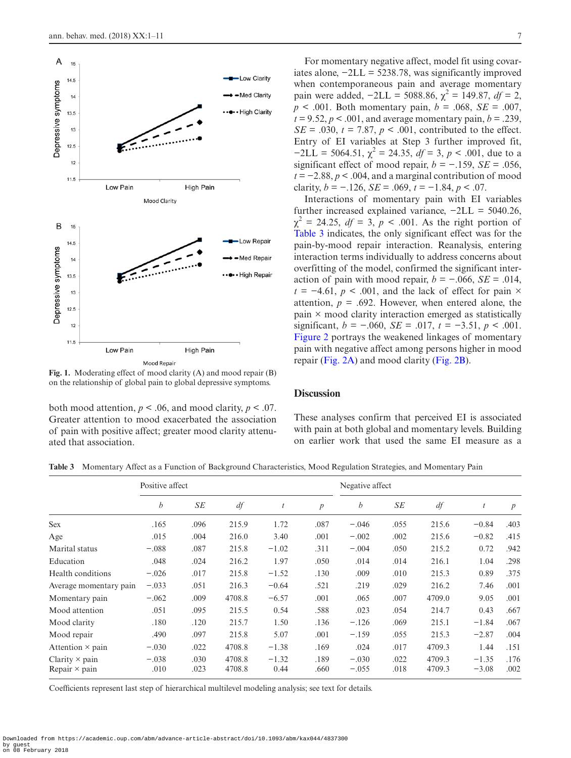

<span id="page-6-0"></span>**Fig. 1.** Moderating effect of mood clarity (A) and mood repair (B) on the relationship of global pain to global depressive symptoms.

both mood attention,  $p < .06$ , and mood clarity,  $p < .07$ . Greater attention to mood exacerbated the association of pain with positive affect; greater mood clarity attenuated that association.

For momentary negative affect, model fit using covariates alone,  $-2LL = 5238.78$ , was significantly improved when contemporaneous pain and average momentary pain were added,  $-2LL = 5088.86$ ,  $\chi^2 = 149.87$ ,  $df = 2$ ,  $p < .001$ . Both momentary pain,  $b = .068$ ,  $SE = .007$ ,  $t = 9.52$ ,  $p < .001$ , and average momentary pain,  $b = .239$ ,  $SE = .030$ ,  $t = 7.87$ ,  $p < .001$ , contributed to the effect. Entry of EI variables at Step 3 further improved fit,  $-2LL = 5064.51$ ,  $\chi^2 = 24.35$ ,  $df = 3$ ,  $p < .001$ , due to a significant effect of mood repair,  $b = -0.159$ , *SE* = .056,  $t = -2.88$ ,  $p < .004$ , and a marginal contribution of mood clarity,  $b = -.126$ ,  $SE = .069$ ,  $t = -1.84$ ,  $p < .07$ .

Interactions of momentary pain with EI variables further increased explained variance,  $-2LL = 5040.26$ ,  $\chi^2$  = 24.25, *df* = 3, *p* < .001. As the right portion of [Table 3](#page-6-1) indicates, the only significant effect was for the pain-by-mood repair interaction. Reanalysis, entering interaction terms individually to address concerns about overfitting of the model, confirmed the significant interaction of pain with mood repair,  $b = -.066$ ,  $SE = .014$ ,  $t = -4.61$ ,  $p < .001$ , and the lack of effect for pain  $\times$ attention,  $p = .692$ . However, when entered alone, the  $pain \times$  mood clarity interaction emerged as statistically significant,  $b = -.060$ ,  $SE = .017$ ,  $t = -3.51$ ,  $p < .001$ . [Figure 2](#page-7-0) portrays the weakened linkages of momentary pain with negative affect among persons higher in mood repair ([Fig. 2A\)](#page-7-0) and mood clarity [\(Fig. 2B\)](#page-7-0).

# **Discussion**

These analyses confirm that perceived EI is associated with pain at both global and momentary levels. Building on earlier work that used the same EI measure as a

<span id="page-6-1"></span>**Table 3** Momentary Affect as a Function of Background Characteristics, Mood Regulation Strategies, and Momentary Pain

|                         | Positive affect  |      |        |         |               | Negative affect |      |        |         |                  |
|-------------------------|------------------|------|--------|---------|---------------|-----------------|------|--------|---------|------------------|
|                         | $\boldsymbol{b}$ | SE   | df     |         | $\mathcal{P}$ | b               | SE   | df     |         | $\boldsymbol{p}$ |
| Sex                     | .165             | .096 | 215.9  | 1.72    | .087          | $-.046$         | .055 | 215.6  | $-0.84$ | .403             |
| Age                     | .015             | .004 | 216.0  | 3.40    | .001          | $-.002$         | .002 | 215.6  | $-0.82$ | .415             |
| Marital status          | $-.088$          | .087 | 215.8  | $-1.02$ | .311          | $-.004$         | .050 | 215.2  | 0.72    | .942             |
| Education               | .048             | .024 | 216.2  | 1.97    | .050          | .014            | .014 | 216.1  | 1.04    | .298             |
| Health conditions       | $-.026$          | .017 | 215.8  | $-1.52$ | .130          | .009            | .010 | 215.3  | 0.89    | .375             |
| Average momentary pain  | $-.033$          | .051 | 216.3  | $-0.64$ | .521          | .219            | .029 | 216.2  | 7.46    | .001             |
| Momentary pain          | $-.062$          | .009 | 4708.8 | $-6.57$ | .001          | .065            | .007 | 4709.0 | 9.05    | .001             |
| Mood attention          | .051             | .095 | 215.5  | 0.54    | .588          | .023            | .054 | 214.7  | 0.43    | .667             |
| Mood clarity            | .180             | .120 | 215.7  | 1.50    | .136          | $-.126$         | .069 | 215.1  | $-1.84$ | .067             |
| Mood repair             | .490             | .097 | 215.8  | 5.07    | .001          | $-.159$         | .055 | 215.3  | $-2.87$ | .004             |
| Attention $\times$ pain | $-.030$          | .022 | 4708.8 | $-1.38$ | .169          | .024            | .017 | 4709.3 | 1.44    | .151             |
| Clarity $\times$ pain   | $-.038$          | .030 | 4708.8 | $-1.32$ | .189          | $-.030$         | .022 | 4709.3 | $-1.35$ | .176             |
| Repair $\times$ pain    | .010             | .023 | 4708.8 | 0.44    | .660          | $-.055$         | .018 | 4709.3 | $-3.08$ | .002             |

Coefficients represent last step of hierarchical multilevel modeling analysis; see text for details.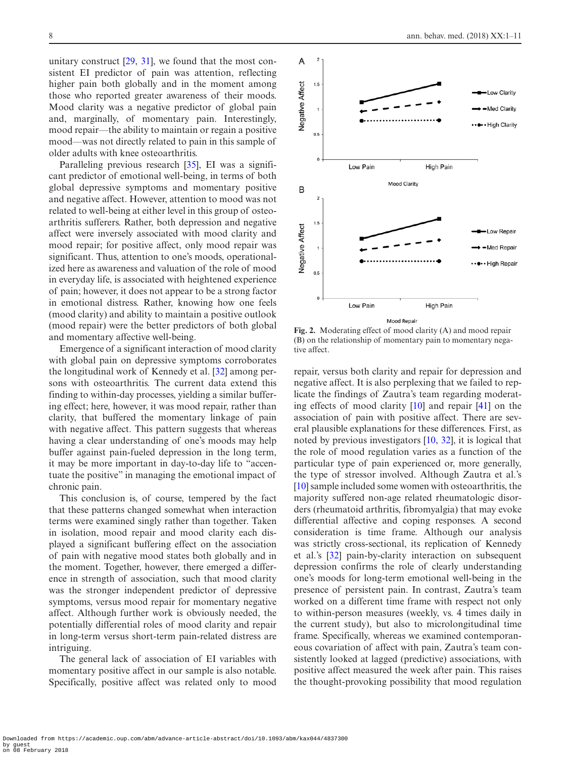unitary construct  $[29, 31]$  $[29, 31]$  $[29, 31]$  $[29, 31]$  $[29, 31]$ , we found that the most consistent EI predictor of pain was attention, reflecting higher pain both globally and in the moment among those who reported greater awareness of their moods. Mood clarity was a negative predictor of global pain and, marginally, of momentary pain. Interestingly, mood repair—the ability to maintain or regain a positive mood—was not directly related to pain in this sample of older adults with knee osteoarthritis.

Paralleling previous research [[35\]](#page-9-31), EI was a significant predictor of emotional well-being, in terms of both global depressive symptoms and momentary positive and negative affect. However, attention to mood was not related to well-being at either level in this group of osteoarthritis sufferers. Rather, both depression and negative affect were inversely associated with mood clarity and mood repair; for positive affect, only mood repair was significant. Thus, attention to one's moods, operationalized here as awareness and valuation of the role of mood in everyday life, is associated with heightened experience of pain; however, it does not appear to be a strong factor in emotional distress. Rather, knowing how one feels (mood clarity) and ability to maintain a positive outlook (mood repair) were the better predictors of both global and momentary affective well-being.

Emergence of a significant interaction of mood clarity with global pain on depressive symptoms corroborates the longitudinal work of Kennedy et al. [\[32](#page-9-27)] among persons with osteoarthritis. The current data extend this finding to within-day processes, yielding a similar buffering effect; here, however, it was mood repair, rather than clarity, that buffered the momentary linkage of pain with negative affect. This pattern suggests that whereas having a clear understanding of one's moods may help buffer against pain-fueled depression in the long term, it may be more important in day-to-day life to "accentuate the positive" in managing the emotional impact of chronic pain.

This conclusion is, of course, tempered by the fact that these patterns changed somewhat when interaction terms were examined singly rather than together. Taken in isolation, mood repair and mood clarity each displayed a significant buffering effect on the association of pain with negative mood states both globally and in the moment. Together, however, there emerged a difference in strength of association, such that mood clarity was the stronger independent predictor of depressive symptoms, versus mood repair for momentary negative affect. Although further work is obviously needed, the potentially differential roles of mood clarity and repair in long-term versus short-term pain-related distress are intriguing.

The general lack of association of EI variables with momentary positive affect in our sample is also notable. Specifically, positive affect was related only to mood



<span id="page-7-0"></span>**Fig. 2.** Moderating effect of mood clarity (A) and mood repair (B) on the relationship of momentary pain to momentary negative affect.

repair, versus both clarity and repair for depression and negative affect. It is also perplexing that we failed to replicate the findings of Zautra's team regarding moderating effects of mood clarity [[10\]](#page-9-28) and repair [\[41](#page-10-4)] on the association of pain with positive affect. There are several plausible explanations for these differences. First, as noted by previous investigators [[10,](#page-9-28) [32](#page-9-27)], it is logical that the role of mood regulation varies as a function of the particular type of pain experienced or, more generally, the type of stressor involved. Although Zautra et al.'s [\[10](#page-9-28)] sample included some women with osteoarthritis, the majority suffered non-age related rheumatologic disorders (rheumatoid arthritis, fibromyalgia) that may evoke differential affective and coping responses. A second consideration is time frame. Although our analysis was strictly cross-sectional, its replication of Kennedy et al.'s [[32\]](#page-9-27) pain-by-clarity interaction on subsequent depression confirms the role of clearly understanding one's moods for long-term emotional well-being in the presence of persistent pain. In contrast, Zautra's team worked on a different time frame with respect not only to within-person measures (weekly, vs. 4 times daily in the current study), but also to microlongitudinal time frame. Specifically, whereas we examined contemporaneous covariation of affect with pain, Zautra's team consistently looked at lagged (predictive) associations, with positive affect measured the week after pain. This raises the thought-provoking possibility that mood regulation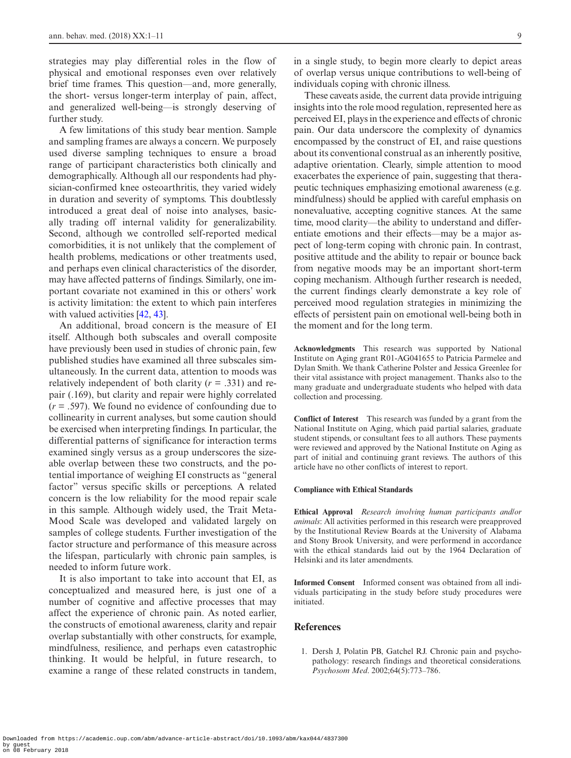strategies may play differential roles in the flow of physical and emotional responses even over relatively brief time frames. This question—and, more generally, the short- versus longer-term interplay of pain, affect, and generalized well-being—is strongly deserving of further study.

A few limitations of this study bear mention. Sample and sampling frames are always a concern. We purposely used diverse sampling techniques to ensure a broad range of participant characteristics both clinically and demographically. Although all our respondents had physician-confirmed knee osteoarthritis, they varied widely in duration and severity of symptoms. This doubtlessly introduced a great deal of noise into analyses, basically trading off internal validity for generalizability. Second, although we controlled self-reported medical comorbidities, it is not unlikely that the complement of health problems, medications or other treatments used, and perhaps even clinical characteristics of the disorder, may have affected patterns of findings. Similarly, one important covariate not examined in this or others' work is activity limitation: the extent to which pain interferes with valued activities [\[42](#page-10-5), [43](#page-10-6)].

An additional, broad concern is the measure of EI itself. Although both subscales and overall composite have previously been used in studies of chronic pain, few published studies have examined all three subscales simultaneously. In the current data, attention to moods was relatively independent of both clarity (*r* = .331) and repair (.169), but clarity and repair were highly correlated (*r* = .597). We found no evidence of confounding due to collinearity in current analyses, but some caution should be exercised when interpreting findings. In particular, the differential patterns of significance for interaction terms examined singly versus as a group underscores the sizeable overlap between these two constructs, and the potential importance of weighing EI constructs as "general factor" versus specific skills or perceptions. A related concern is the low reliability for the mood repair scale in this sample. Although widely used, the Trait Meta-Mood Scale was developed and validated largely on samples of college students. Further investigation of the factor structure and performance of this measure across the lifespan, particularly with chronic pain samples, is needed to inform future work.

It is also important to take into account that EI, as conceptualized and measured here, is just one of a number of cognitive and affective processes that may affect the experience of chronic pain. As noted earlier, the constructs of emotional awareness, clarity and repair overlap substantially with other constructs, for example, mindfulness, resilience, and perhaps even catastrophic thinking. It would be helpful, in future research, to examine a range of these related constructs in tandem,

in a single study, to begin more clearly to depict areas of overlap versus unique contributions to well-being of individuals coping with chronic illness.

These caveats aside, the current data provide intriguing insights into the role mood regulation, represented here as perceived EI, plays in the experience and effects of chronic pain. Our data underscore the complexity of dynamics encompassed by the construct of EI, and raise questions about its conventional construal as an inherently positive, adaptive orientation. Clearly, simple attention to mood exacerbates the experience of pain, suggesting that therapeutic techniques emphasizing emotional awareness (e.g. mindfulness) should be applied with careful emphasis on nonevaluative, accepting cognitive stances. At the same time, mood clarity—the ability to understand and differentiate emotions and their effects—may be a major aspect of long-term coping with chronic pain. In contrast, positive attitude and the ability to repair or bounce back from negative moods may be an important short-term coping mechanism. Although further research is needed, the current findings clearly demonstrate a key role of perceived mood regulation strategies in minimizing the effects of persistent pain on emotional well-being both in the moment and for the long term.

**Acknowledgments** This research was supported by National Institute on Aging grant R01-AG041655 to Patricia Parmelee and Dylan Smith. We thank Catherine Polster and Jessica Greenlee for their vital assistance with project management. Thanks also to the many graduate and undergraduate students who helped with data collection and processing.

**Conflict of Interest** This research was funded by a grant from the National Institute on Aging, which paid partial salaries, graduate student stipends, or consultant fees to all authors. These payments were reviewed and approved by the National Institute on Aging as part of initial and continuing grant reviews. The authors of this article have no other conflicts of interest to report.

#### **Compliance with Ethical Standards**

**Ethical Approval** *Research involving human participants and/or animals*: All activities performed in this research were preapproved by the Institutional Review Boards at the University of Alabama and Stony Brook University, and were performend in accordance with the ethical standards laid out by the 1964 Declaration of Helsinki and its later amendments.

**Informed Consent** Informed consent was obtained from all individuals participating in the study before study procedures were initiated.

# **References**

<span id="page-8-0"></span>1. Dersh J, Polatin PB, Gatchel RJ. Chronic pain and psychopathology: research findings and theoretical considerations. *Psychosom Med*. 2002;64(5):773–786.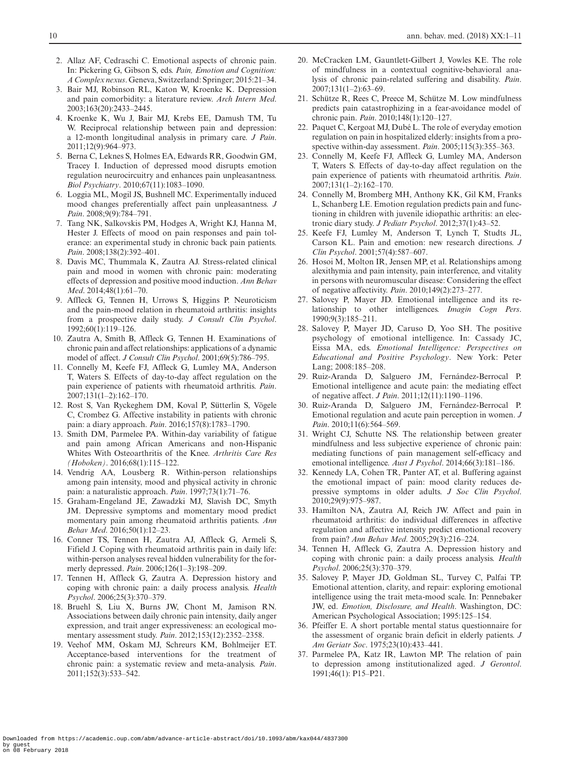- <span id="page-9-0"></span>2. Allaz AF, Cedraschi C. Emotional aspects of chronic pain. In: Pickering G, Gibson S, eds. *Pain, Emotion and Cognition: A Complex nexus*. Geneva, Switzerland: Springer; 2015:21–34.
- <span id="page-9-1"></span>3. Bair MJ, Robinson RL, Katon W, Kroenke K. Depression and pain comorbidity: a literature review. *Arch Intern Med*. 2003;163(20):2433–2445.
- <span id="page-9-2"></span>4. Kroenke K, Wu J, Bair MJ, Krebs EE, Damush TM, Tu W. Reciprocal relationship between pain and depression: a 12-month longitudinal analysis in primary care. *J Pain*. 2011;12(9):964–973.
- <span id="page-9-3"></span>5. Berna C, Leknes S, Holmes EA, Edwards RR, Goodwin GM, Tracey I. Induction of depressed mood disrupts emotion regulation neurocircuitry and enhances pain unpleasantness. *Biol Psychiatry*. 2010;67(11):1083–1090.
- <span id="page-9-4"></span>6. Loggia ML, Mogil JS, Bushnell MC. Experimentally induced mood changes preferentially affect pain unpleasantness. *J Pain*. 2008;9(9):784–791.
- <span id="page-9-5"></span>7. Tang NK, Salkovskis PM, Hodges A, Wright KJ, Hanna M, Hester J. Effects of mood on pain responses and pain tolerance: an experimental study in chronic back pain patients. *Pain*. 2008;138(2):392–401.
- <span id="page-9-6"></span>8. Davis MC, Thummala K, Zautra AJ. Stress-related clinical pain and mood in women with chronic pain: moderating effects of depression and positive mood induction. *Ann Behav Med*. 2014;48(1):61–70.
- <span id="page-9-7"></span>9. Affleck G, Tennen H, Urrows S, Higgins P. Neuroticism and the pain-mood relation in rheumatoid arthritis: insights from a prospective daily study. *J Consult Clin Psychol*. 1992;60(1):119–126.
- <span id="page-9-28"></span>10. Zautra A, Smith B, Affleck G, Tennen H. Examinations of chronic pain and affect relationships: applications of a dynamic model of affect. *J Consult Clin Psychol*. 2001;69(5):786–795.
- 11. Connelly M, Keefe FJ, Affleck G, Lumley MA, Anderson T, Waters S. Effects of day-to-day affect regulation on the pain experience of patients with rheumatoid arthritis. *Pain*. 2007;131(1–2):162–170.
- <span id="page-9-19"></span>12. Rost S, Van Ryckeghem DM, Koval P, Sütterlin S, Vögele C, Crombez G. Affective instability in patients with chronic pain: a diary approach. *Pain*. 2016;157(8):1783–1790.
- <span id="page-9-8"></span>13. Smith DM, Parmelee PA. Within-day variability of fatigue and pain among African Americans and non-Hispanic Whites With Osteoarthritis of the Knee. *Arthritis Care Res (Hoboken)*. 2016;68(1):115–122.
- 14. Vendrig AA, Lousberg R. Within-person relationships among pain intensity, mood and physical activity in chronic pain: a naturalistic approach. *Pain*. 1997;73(1):71–76.
- <span id="page-9-9"></span>15. Graham-Engeland JE, Zawadzki MJ, Slavish DC, Smyth JM. Depressive symptoms and momentary mood predict momentary pain among rheumatoid arthritis patients. *Ann Behav Med*. 2016;50(1):12–23.
- <span id="page-9-10"></span>16. Conner TS, Tennen H, Zautra AJ, Affleck G, Armeli S, Fifield J. Coping with rheumatoid arthritis pain in daily life: within-person analyses reveal hidden vulnerability for the formerly depressed. *Pain*. 2006;126(1–3):198–209.
- <span id="page-9-11"></span>17. Tennen H, Affleck G, Zautra A. Depression history and coping with chronic pain: a daily process analysis. *Health Psychol*. 2006;25(3):370–379.
- <span id="page-9-12"></span>18. Bruehl S, Liu X, Burns JW, Chont M, Jamison RN. Associations between daily chronic pain intensity, daily anger expression, and trait anger expressiveness: an ecological momentary assessment study. *Pain*. 2012;153(12):2352–2358.
- <span id="page-9-13"></span>19. Veehof MM, Oskam MJ, Schreurs KM, Bohlmeijer ET. Acceptance-based interventions for the treatment of chronic pain: a systematic review and meta-analysis. *Pain*. 2011;152(3):533–542.
- <span id="page-9-14"></span>20. McCracken LM, Gauntlett-Gilbert J, Vowles KE. The role of mindfulness in a contextual cognitive-behavioral analysis of chronic pain-related suffering and disability. *Pain*. 2007;131(1–2):63–69.
- <span id="page-9-15"></span>21. Schütze R, Rees C, Preece M, Schütze M. Low mindfulness predicts pain catastrophizing in a fear-avoidance model of chronic pain. *Pain*. 2010;148(1):120–127.
- <span id="page-9-16"></span>22. Paquet C, Kergoat MJ, Dubé L. The role of everyday emotion regulation on pain in hospitalized elderly: insights from a prospective within-day assessment. *Pain*. 2005;115(3):355–363.
- <span id="page-9-17"></span>23. Connelly M, Keefe FJ, Affleck G, Lumley MA, Anderson T, Waters S. Effects of day-to-day affect regulation on the pain experience of patients with rheumatoid arthritis. *Pain*. 2007;131(1–2):162–170.
- <span id="page-9-18"></span>24. Connelly M, Bromberg MH, Anthony KK, Gil KM, Franks L, Schanberg LE. Emotion regulation predicts pain and functioning in children with juvenile idiopathic arthritis: an electronic diary study. *J Pediatr Psychol*. 2012;37(1):43–52.
- <span id="page-9-20"></span>25. Keefe FJ, Lumley M, Anderson T, Lynch T, Studts JL, Carson KL. Pain and emotion: new research directions. *J Clin Psychol*. 2001;57(4):587–607.
- <span id="page-9-21"></span>26. Hosoi M, Molton IR, Jensen MP, et al. Relationships among alexithymia and pain intensity, pain interference, and vitality in persons with neuromuscular disease: Considering the effect of negative affectivity. *Pain*. 2010;149(2):273–277.
- <span id="page-9-22"></span>27. Salovey P, Mayer JD. Emotional intelligence and its relationship to other intelligences. *Imagin Cogn Pers*. 1990;9(3):185–211.
- <span id="page-9-23"></span>28. Salovey P, Mayer JD, Caruso D, Yoo SH. The positive psychology of emotional intelligence. In: Cassady JC, Eissa MA, eds. *Emotional Intelligence: Perspectives on Educational and Positive Psychology*. New York: Peter Lang; 2008:185–208.
- <span id="page-9-24"></span>29. Ruiz-Aranda D, Salguero JM, Fernández-Berrocal P. Emotional intelligence and acute pain: the mediating effect of negative affect. *J Pain*. 2011;12(11):1190–1196.
- <span id="page-9-25"></span>30. Ruiz-Aranda D, Salguero JM, Fernández-Berrocal P. Emotional regulation and acute pain perception in women. *J Pain*. 2010;11(6):564–569.
- <span id="page-9-26"></span>31. Wright CJ, Schutte NS. The relationship between greater mindfulness and less subjective experience of chronic pain: mediating functions of pain management self-efficacy and emotional intelligence. *Aust J Psychol*. 2014;66(3):181–186.
- <span id="page-9-27"></span>32. Kennedy LA, Cohen TR, Panter AT, et al. Buffering against the emotional impact of pain: mood clarity reduces depressive symptoms in older adults. *J Soc Clin Psychol*. 2010;29(9):975–987.
- <span id="page-9-29"></span>33. Hamilton NA, Zautra AJ, Reich JW. Affect and pain in rheumatoid arthritis: do individual differences in affective regulation and affective intensity predict emotional recovery from pain? *Ann Behav Med*. 2005;29(3):216–224.
- <span id="page-9-30"></span>34. Tennen H, Affleck G, Zautra A. Depression history and coping with chronic pain: a daily process analysis. *Health Psychol*. 2006;25(3):370–379.
- <span id="page-9-31"></span>35. Salovey P, Mayer JD, Goldman SL, Turvey C, Palfai TP. Emotional attention, clarity, and repair: exploring emotional intelligence using the trait meta-mood scale. In: Pennebaker JW, ed. *Emotion, Disclosure, and Health*. Washington, DC: American Psychological Association; 1995:125–154.
- <span id="page-9-32"></span>36. Pfeiffer E. A short portable mental status questionnaire for the assessment of organic brain deficit in elderly patients. *J Am Geriatr Soc*. 1975;23(10):433–441.
- <span id="page-9-33"></span>37. Parmelee PA, Katz IR, Lawton MP. The relation of pain to depression among institutionalized aged. *J Gerontol*. 1991;46(1): P15–P21.